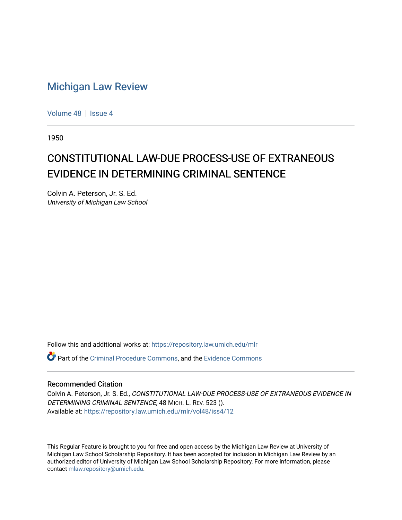## [Michigan Law Review](https://repository.law.umich.edu/mlr)

[Volume 48](https://repository.law.umich.edu/mlr/vol48) | [Issue 4](https://repository.law.umich.edu/mlr/vol48/iss4)

1950

## CONSTITUTIONAL LAW-DUE PROCESS-USE OF EXTRANEOUS EVIDENCE IN DETERMINING CRIMINAL SENTENCE

Colvin A. Peterson, Jr. S. Ed. University of Michigan Law School

Follow this and additional works at: [https://repository.law.umich.edu/mlr](https://repository.law.umich.edu/mlr?utm_source=repository.law.umich.edu%2Fmlr%2Fvol48%2Fiss4%2F12&utm_medium=PDF&utm_campaign=PDFCoverPages) 

Part of the [Criminal Procedure Commons,](http://network.bepress.com/hgg/discipline/1073?utm_source=repository.law.umich.edu%2Fmlr%2Fvol48%2Fiss4%2F12&utm_medium=PDF&utm_campaign=PDFCoverPages) and the [Evidence Commons](http://network.bepress.com/hgg/discipline/601?utm_source=repository.law.umich.edu%2Fmlr%2Fvol48%2Fiss4%2F12&utm_medium=PDF&utm_campaign=PDFCoverPages)

## Recommended Citation

Colvin A. Peterson, Jr. S. Ed., CONSTITUTIONAL LAW-DUE PROCESS-USE OF EXTRANEOUS EVIDENCE IN DETERMINING CRIMINAL SENTENCE, 48 MICH. L. REV. 523 (). Available at: [https://repository.law.umich.edu/mlr/vol48/iss4/12](https://repository.law.umich.edu/mlr/vol48/iss4/12?utm_source=repository.law.umich.edu%2Fmlr%2Fvol48%2Fiss4%2F12&utm_medium=PDF&utm_campaign=PDFCoverPages) 

This Regular Feature is brought to you for free and open access by the Michigan Law Review at University of Michigan Law School Scholarship Repository. It has been accepted for inclusion in Michigan Law Review by an authorized editor of University of Michigan Law School Scholarship Repository. For more information, please contact [mlaw.repository@umich.edu](mailto:mlaw.repository@umich.edu).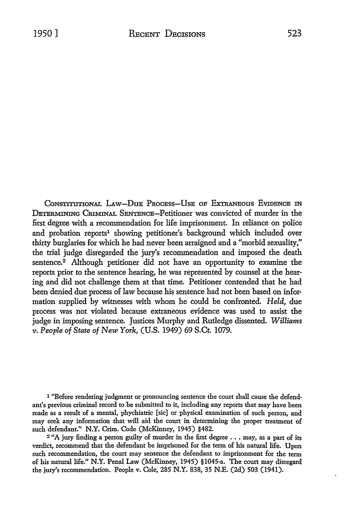CONSTITUTIONAL LAW-DUB PROCESS-USE OF EXTRANEOUS EVIDENCE IN DETERMINING CRIMINAL SENTENCE-Petitioner was convicted of murder in the first degree with a recommendation for life imprisonment. In reliance on police and probation reports<sup>1</sup> showing petitioner's background which included over thirty burglaries for which he had never been arraigned and a "morbid sexuality," the trial judge disregarded the jury's recommendation and imposed the death sentence.<sup>2</sup> Although petitioner did not have an opportunity to examine the reports prior to the sentence hearing, he was represented by counsel at the hearing and did not challenge them at that time. Petitioner contended that he had been denied due process of law because his sentence had not been based on information supplied by witnesses with whom he could be confronted. *Held,* due process was not violated because extraneous evidence was used to assist the judge in imposing sentence. Justices Murphy and Rutledge dissented. *Williams v. People of State of New York,* (U.S. 1949) 69 S.Ct. 1079.

1 "Before rendering judgment or pronouncing sentence the court shall cause the defendant's previous criminal record to be submitted to it, including any reports that may have been made as a result of a mental, phychiatric [sic] or physical examination of such person, and may seek any information that will aid the court in determining the proper treatment of such defendant." N.Y. Crim. Code (McKinney, 1945) §482.

 $2$  "A jury finding a person guilty of murder in the first degree  $\ldots$  may, as a part of its verdict, recommend that the defendant be imprisoned for the term of his natural life. Upon such recommendation, the court may sentence the defendant to imprisonment for the term of his natural life." N.Y. Penal Law (McKinney, 1945) §1045-a. The court may disregard the jury's recommendation. People v. Cole, 285 N.Y. 838, 35 N.E. (2d) 503 (1941).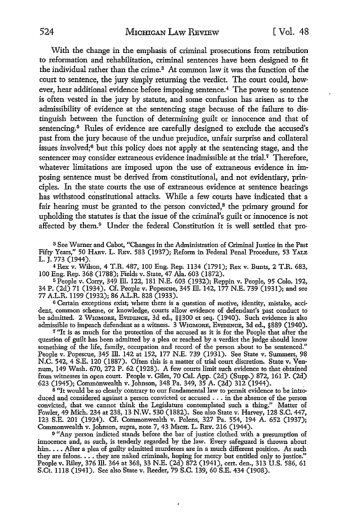With the change in the emphasis of criminal prosecutions from retribution to reformation and rehabilitation, criminal sentences have been designed to fit the individual rather than the crime.3 At common law it was the function of the court to sentence, the jury simply returning the verdict. The court could, how· ever, hear additional evidence before imposing sentence.<sup>4</sup> The power to sentence is often vested in the jury by statute, and some confusion has arisen as to the admissibility of evidence at the sentencing stage because of the failure to dis· tinguish between the function of determining guilt or innocence and that of sentencing.<sup>5</sup> Rules of evidence are carefully designed to exclude the accused's past from the jury because of the undue prejudice, unfair surprise and collateral issues involved;6 but this policy does not apply at the sentencing stage, and the sentencer may consider extraneous evidence inadmissible at the trial.<sup>7</sup> Therefore, whatever limitations are imposed upon the use of extraneous evidence in imposing sentence must be derived from constitutional, and not evidentiary, prin· ciples. In the state courts the use of extraneous evidence at sentence hearings has withstood constitutional attacks. While a few courts have indicated that a fair hearing must be granted to the person convicted,<sup>8</sup> the primary ground for upholding the statutes is that the issue of the criminal's guilt or innocence is not affected by them.9 Under the federal Constitution it is well settled that pro-

<sup>3</sup>See Warner and Cabot, "Changes in the Administration of Criminal Justice in the Past Fifty Years," 50 HARV. L. REv. 583 (1937); Reform in Federal Penal Procedure, 53 YALE L. J. 773 (1944).

4Rex v. Wilson, 4 T.R. 487, 100 Eng. Rep. 1134 (1791); Rex v. Bunts, 2 T.R. 683, 100 Eng. Rep. 368 (1788); Fields v. State, 47 Ala. 603 (1872).

<sup>5</sup>People v. Corry, 349 ill. 122, 181 N.E. 603 (1932); Reppin v. People, 95 Colo. 192, 34 P. (2d) 71 (1934). Cf. People v. Popescue, 345 ill. 142, 177 N.E. 739 (1931); and see 77 A.L.R. 1199 (1932); 86 A.L.R. 828 (1933).

 $6$  Certain exceptions exist; where there is a question of motive, identity, mistake, accident, common scheme, or knowledge, courts allow evidence of defendant's past conduct to be admitted. 2 WIGMORE, EVIDENCE, 3d ed., §§300 et seq. (1940). Such evidence is also admissible to impeach defendant as a witness. 3 WIGMORE, EVIDENCE, 3d ed., §889 (1940).

<sup>7</sup>"It is as much for the protection of the accused as it is for the People that after the question of guilt has been admitted by a plea or reached by a verdict the judge should know something of the life, family, occupation and record of the person about to be sentenced." People v. Popescue, 345 ill. 142 at 152, 177 N.E. 739 (1931). See State v. Summers, 98 N.C. 542, 4 S.E. 120 (1887). Often this is a matter of trial court discretion. State v. Ven· mun, 149 Wash. 670, 272 P. 62 (1928). A few courts limit such evidence to that obtained from \vitnesses in open court. People v. Giles, 70 Cal. App. (2d) (Supp.) 872, 161 P. (2d) 623 (1945); Commonwealth v. Johnson, 348 Pa. 349, 35 A. (2d) 312 (1944). .

8 "It would be so clearly contrary to our fundamental law to permit evidence to be introduced and considered against a person convicted or accused  $\dots$  in the absence of the person convicted, that we cannot think the Legislature contemplated such a thing." Matter of Fowler, 49 Mich. 234 at 238, 13 N.W. 530 (1882). See also State v. Harvey, 128 S.C. 447, 123 S.E. 201 (1924). Cf. Commonwealth v. Polens, 327 Pa. 554, 194 A. 652 (1937); Commonwealth v. Johnson, supra, note 7, 43 MICH. L. REv. 216 (1944).

<sup>9</sup>"Any person indicted stands before the bar of justice clothed with a presumption of innocence and, as such, is tenderly regarded by the law. Every safeguard is thrown about him.... After a plea of guilty admitted murderers are in a much different position. As such they are felons .... they are naked criminals, hoping for mercy but entitled only to justice." People v. Riley, 376 Ill. 364 at 368, 33 N.E. (2d) 872 (1941), cert. den., 313 U.S. 586, 61 S.Ct. 1118 (1941). See also State v. Reeder, 79 S.C. 139, 60 S.E. 434 (1908).